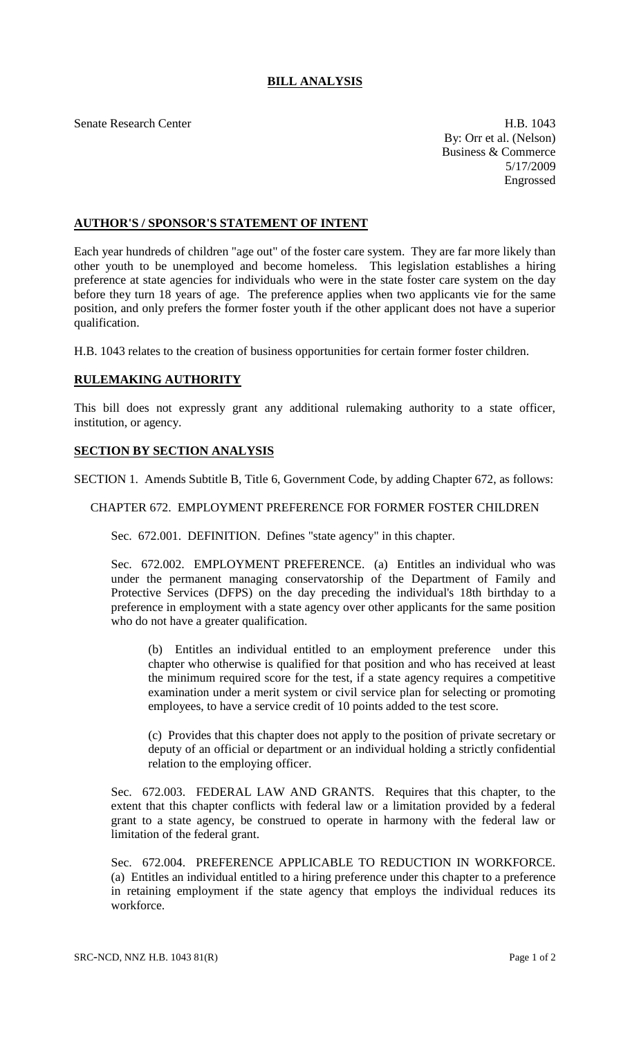# **BILL ANALYSIS**

Senate Research Center **H.B. 1043** By: Orr et al. (Nelson) Business & Commerce 5/17/2009 Engrossed

### **AUTHOR'S / SPONSOR'S STATEMENT OF INTENT**

Each year hundreds of children "age out" of the foster care system. They are far more likely than other youth to be unemployed and become homeless. This legislation establishes a hiring preference at state agencies for individuals who were in the state foster care system on the day before they turn 18 years of age. The preference applies when two applicants vie for the same position, and only prefers the former foster youth if the other applicant does not have a superior qualification.

H.B. 1043 relates to the creation of business opportunities for certain former foster children.

### **RULEMAKING AUTHORITY**

This bill does not expressly grant any additional rulemaking authority to a state officer, institution, or agency.

# **SECTION BY SECTION ANALYSIS**

SECTION 1. Amends Subtitle B, Title 6, Government Code, by adding Chapter 672, as follows:

#### CHAPTER 672. EMPLOYMENT PREFERENCE FOR FORMER FOSTER CHILDREN

Sec. 672.001. DEFINITION. Defines "state agency" in this chapter.

Sec. 672.002. EMPLOYMENT PREFERENCE. (a) Entitles an individual who was under the permanent managing conservatorship of the Department of Family and Protective Services (DFPS) on the day preceding the individual's 18th birthday to a preference in employment with a state agency over other applicants for the same position who do not have a greater qualification.

(b) Entitles an individual entitled to an employment preference under this chapter who otherwise is qualified for that position and who has received at least the minimum required score for the test, if a state agency requires a competitive examination under a merit system or civil service plan for selecting or promoting employees, to have a service credit of 10 points added to the test score.

(c) Provides that this chapter does not apply to the position of private secretary or deputy of an official or department or an individual holding a strictly confidential relation to the employing officer.

Sec. 672.003. FEDERAL LAW AND GRANTS. Requires that this chapter, to the extent that this chapter conflicts with federal law or a limitation provided by a federal grant to a state agency, be construed to operate in harmony with the federal law or limitation of the federal grant.

Sec. 672.004. PREFERENCE APPLICABLE TO REDUCTION IN WORKFORCE. (a) Entitles an individual entitled to a hiring preference under this chapter to a preference in retaining employment if the state agency that employs the individual reduces its workforce.